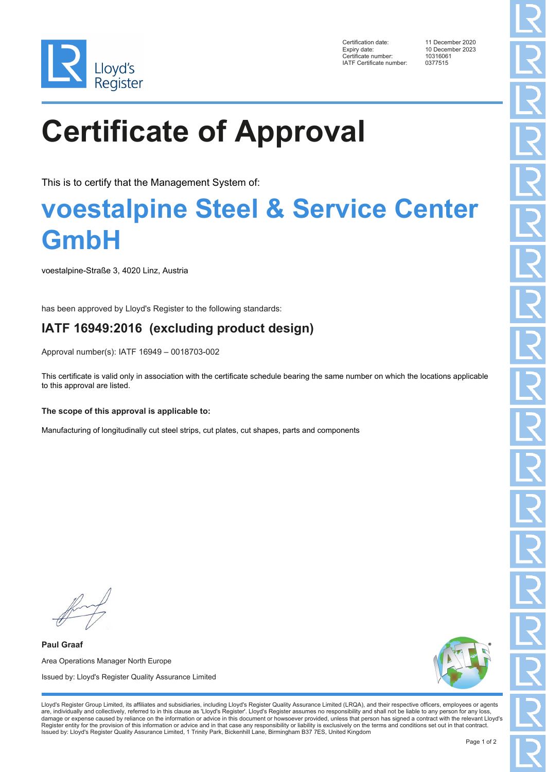

Certification date: 11 December 2020 Expiry date: 10 December 2023<br>Certificate number: 10316061 Certificate number: 1031606<br>1031606<br>IATF Certificate number: 0377515 IATF Certificate number:

# **Certificate of Approval**

This is to certify that the Management System of:

### **voestalpine Steel & Service Center GmbH**

voestalpine-Straße 3, 4020 Linz, Austria

has been approved by Lloyd's Register to the following standards:

### **IATF 16949:2016 (excluding product design)**

Approval number(s): IATF 16949 – 0018703-002

This certificate is valid only in association with the certificate schedule bearing the same number on which the locations applicable to this approval are listed.

#### **The scope of this approval is applicable to:**

Manufacturing of longitudinally cut steel strips, cut plates, cut shapes, parts and components

**Paul Graaf** Area Operations Manager North Europe Issued by: Lloyd's Register Quality Assurance Limited



Lloyd's Register Group Limited, its affiliates and subsidiaries, including Lloyd's Register Quality Assurance Limited (LRQA), and their respective officers, employees or agents are, individually and collectively, referred to in this clause as 'Lloyd's Register'. Lloyd's Register assumes no responsibility and shall not be liable to any person for any loss,<br>damage or expense caused by reliance on t Register entity for the provision of this information or advice and in that case any responsibility or liability is exclusively on the terms and conditions set out in that contract. Issued by: Lloyd's Register Quality Assurance Limited, 1 Trinity Park, Bickenhill Lane, Birmingham B37 7ES, United Kingdom